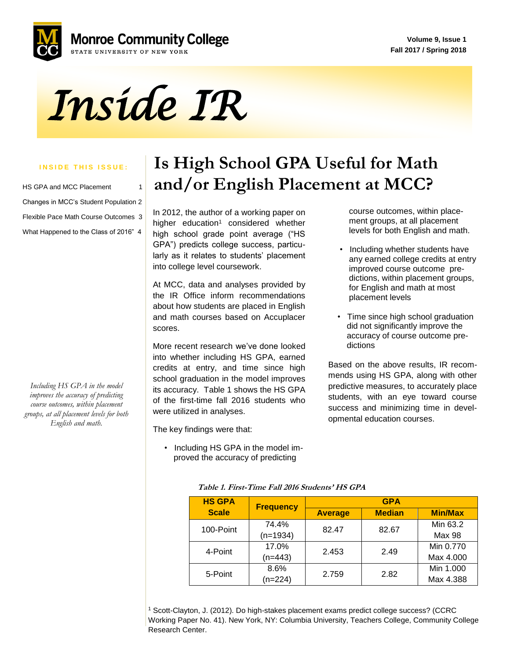**Volume 9, Issue 1 Fall 2017 / Spring 2018**



*Inside IR* 

#### **INSIDE THIS ISSUE:**

| HS GPA and MCC Placement              | 1 |
|---------------------------------------|---|
| Changes in MCC's Student Population 2 |   |
| Flexible Pace Math Course Outcomes 3  |   |
| What Happened to the Class of 2016" 4 |   |

*Including HS GPA in the model improves the accuracy of predicting course outcomes, within placement groups, at all placement levels for both English and math.*

### **Is High School GPA Useful for Math and/or English Placement at MCC?**

 GPA") predicts college success, particu-In 2012, the author of a working paper on higher education<sup>1</sup> considered whether high school grade point average ("HS larly as it relates to students' placement into college level coursework.

At MCC, data and analyses provided by the IR Office inform recommendations about how students are placed in English and math courses based on Accuplacer scores.

More recent research we've done looked into whether including HS GPA, earned credits at entry, and time since high school graduation in the model improves its accuracy. Table 1 shows the HS GPA of the first-time fall 2016 students who were utilized in analyses.

The key findings were that:

 • Including HS GPA in the model im proved the accuracy of predicting

 course outcomes, within place ment groups, at all placement levels for both English and math.

- Including whether students have any earned college credits at entry improved course outcome pre dictions, within placement groups, for English and math at most placement levels
- Time since high school graduation did not significantly improve the accuracy of course outcome pre dictions

Based on the above results, IR recommends using HS GPA, along with other predictive measures, to accurately place students, with an eye toward course success and minimizing time in developmental education courses.

| <b>HS GPA</b> | <b>Frequency</b> | <b>GPA</b>     |               |                |           |
|---------------|------------------|----------------|---------------|----------------|-----------|
| <b>Scale</b>  |                  | <b>Average</b> | <b>Median</b> | <b>Min/Max</b> |           |
| 100-Point     | 74.4%            | 82.47          | 82.67         | Min 63.2       |           |
|               | $(n=1934)$       |                |               | Max 98         |           |
| 4-Point       | 17.0%            | 2.453          | 2.49          | Min 0.770      |           |
|               | $(n=443)$        |                |               |                | Max 4.000 |
| 5-Point       | 8.6%             | 2.759          | 2.82          | Min 1.000      |           |
|               | $(n=224)$        |                |               | Max 4.388      |           |

**Table 1. First-Time Fall 2016 Students' HS GPA**

<sup>1</sup> Scott-Clayton, J. (2012). Do high-stakes placement exams predict college success? (CCRC Working Paper No. 41). New York, NY: Columbia University, Teachers College, Community College Research Center.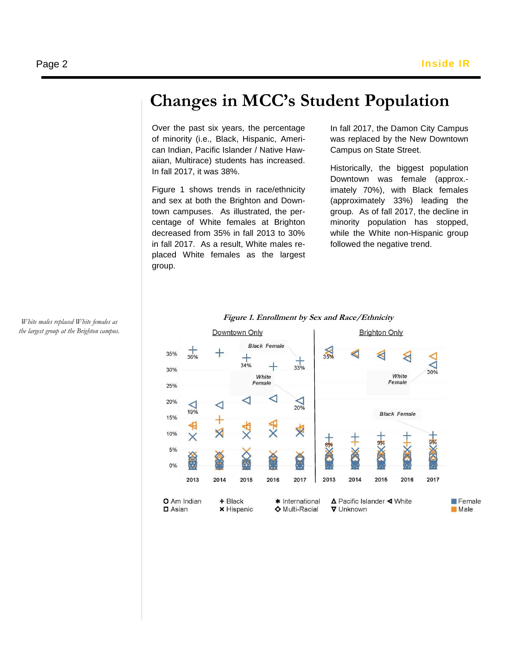## **Changes in MCC's Student Population**

Over the past six years, the percentage of minority (i.e., Black, Hispanic, American Indian, Pacific Islander / Native Hawaiian, Multirace) students has increased. In fall 2017, it was 38%.

 town campuses. As illustrated, the per-Figure 1 shows trends in race/ethnicity and sex at both the Brighton and Downcentage of White females at Brighton decreased from 35% in fall 2013 to 30% in fall 2017. As a result, White males replaced White females as the largest group.

In fall 2017, the Damon City Campus was replaced by the New Downtown Campus on State Street.

Historically, the biggest population Downtown was female (approx. imately 70%), with Black females (approximately 33%) leading the group. As of fall 2017, the decline in minority population has stopped, while the White non-Hispanic group followed the negative trend.



### **Figure 1. Enrollment by Sex and Race/Ethnicity**

*White males replaced White females as the largest group at the Brighton campus.*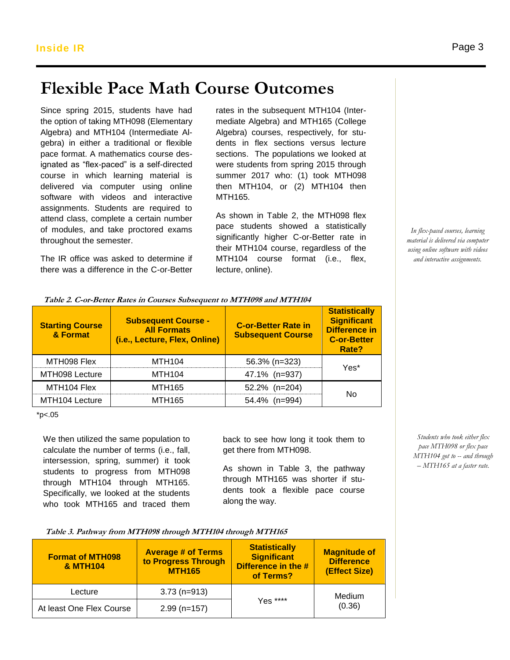# **Flexible Pace Math Course Outcomes**

Since spring 2015, students have had Since spinig 2013, students have had traces in the student Retention of taking MTH098 (Elementary mediate Algeb Algebra) and MTH104 (Intermediate Algebra) in either a traditional or flexible pace format. A mathematics course designated as "flex-paced" is a self-directed were students from spring 2015 throw<br>course in which learning material is summer 2017 who: (1) took MTF course in which learning material is delivered via computer using online software with videos and interactive assignments. Students are required to attend class, complete a certain number of modules, and take proctored exams throughout the semester.

The IR office was asked to determine if there was a difference in the C-or-Better

rates in the subsequent MTH104 (Intermediate Algebra) and MTH165 (College Algebra) courses, respectively, for students in flex sections versus lecture sections. The populations we looked at were students from spring 2015 through summer 2017 who: (1) took MTH098 then MTH104, or (2) MTH104 then MTH165.

As shown in Table 2, the MTH098 flex pace students showed a statistically significantly higher C-or-Better rate in their MTH104 course, regardless of the MTH104 course format (i.e., flex, lecture, online).

> **Statistically Significant Difference in C-or-Better Rate?**

> > Yes\*

No

**C-or-Better Rate in** 

**(i.e., Lecture, Flex, Online) Subsequent Course** MTH098 Flex | MTH104 | 56.3% (n=323) MTH098 Lecture | MTH104 | 47.1% (n=937) MTH104 Flex | MTH165 | 52.2% (n=204)

**Table 2. C-or-Better Rates in Courses Subsequent to MTH098 and MTH104**

**Subsequent Course - All Formats**

MTH104 Lecture | MTH165 | 54.4% (n=994)

 $*<sub>D</sub> < .05$ 

**Starting Course & Format**

We then utilized the same population to calculate the number of terms (i.e., fall, intersession, spring, summer) it took students to progress from MTH098 through MTH104 through MTH165. Specifically, we looked at the students who took MTH165 and traced them

back to see how long it took them to get there from MTH098.

As shown in Table 3, the pathway through MTH165 was shorter if students took a flexible pace course along the way.

| Table 3. Pathway from MTH098 through MTH104 through MTH165 |  |  |  |
|------------------------------------------------------------|--|--|--|
|                                                            |  |  |  |

| <b>Format of MTH098</b><br><b>&amp; MTH104</b> | <b>Average # of Terms</b><br>to Progress Through<br><b>MTH165</b> | <b>Statistically</b><br><b>Significant</b><br>Difference in the #<br>of Terms? | <b>Magnitude of</b><br><b>Difference</b><br>(Effect Size) |
|------------------------------------------------|-------------------------------------------------------------------|--------------------------------------------------------------------------------|-----------------------------------------------------------|
| Lecture                                        | $3.73$ (n=913)                                                    |                                                                                | Medium                                                    |
| At least One Flex Course                       | $2.99$ (n=157)                                                    | Yes ****                                                                       | (0.36)                                                    |

*In flex-paced courses, learning material is delivered via computer using online software with videos and interactive assignments.*

*Students who took either flex pace MTH098 or flex pace MTH104 got to -- and through – MTH165 at a faster rate.*